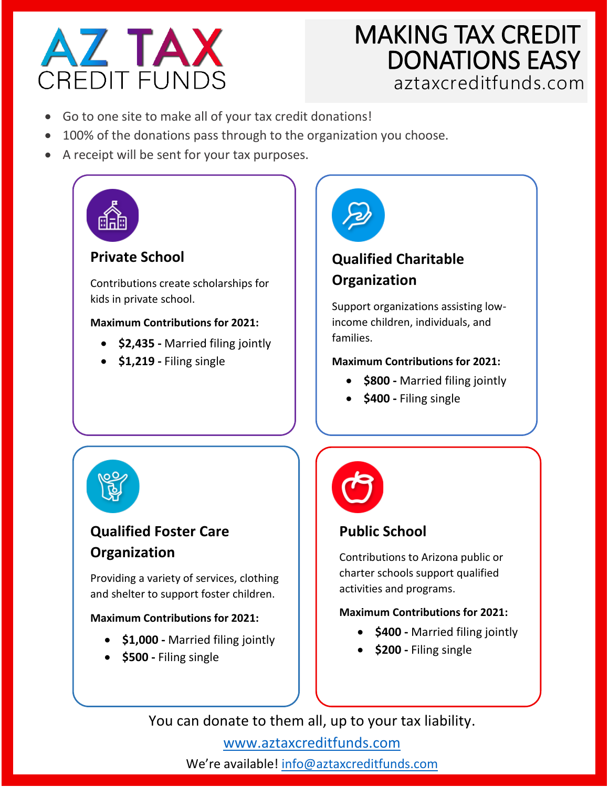

# **MAKING TAX CREDIT<br>DONATIONS EASY<br>aztaxcreditfunds.com**

- Go to one site to make all of your tax credit donations!
- 100% of the donations pass through to the organization you choose.
- A receipt will be sent for your tax purposes.



# **Private School**

Contributions create scholarships for kids in private school.

#### **Maximum Contributions for 2021:**

- **\$2,435 -** Married filing jointly
- **\$1,219 -** Filing single



## **Qualified Charitable Organization**

Support organizations assisting lowincome children, individuals, and families.

#### **Maximum Contributions for 2021:**

- **\$800 -** Married filing jointly
- **\$400 -** Filing single



# **Qualified Foster Care Organization**

Providing a variety of services, clothing and shelter to support foster children.

#### **Maximum Contributions for 2021:**

- **\$1,000 -** Married filing jointly
- **\$500 -** Filing single



# **Public School**

Contributions to Arizona public or charter schools support qualified activities and programs.

#### **Maximum Contributions for 2021:**

- **\$400 -** Married filing jointly
- **\$200 -** Filing single

You can donate to them all, up to your tax liability.

[www.aztaxcreditfunds.com](http://www.aztaxcreditfunds.com/) We're available! [info@aztaxcreditfunds.com](mailto:info@aztaxcreditfunds.com)